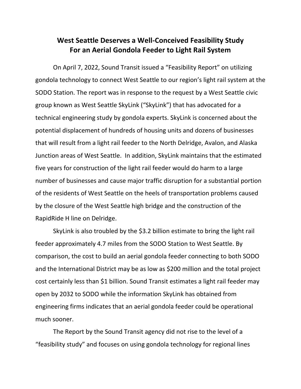## **West Seattle Deserves a Well-Conceived Feasibility Study For an Aerial Gondola Feeder to Light Rail System**

On April 7, 2022, Sound Transit issued a "Feasibility Report" on utilizing gondola technology to connect West Seattle to our region's light rail system at the SODO Station. The report was in response to the request by a West Seattle civic group known as West Seattle SkyLink ("SkyLink") that has advocated for a technical engineering study by gondola experts. SkyLink is concerned about the potential displacement of hundreds of housing units and dozens of businesses that will result from a light rail feeder to the North Delridge, Avalon, and Alaska Junction areas of West Seattle. In addition, SkyLink maintains that the estimated five years for construction of the light rail feeder would do harm to a large number of businesses and cause major traffic disruption for a substantial portion of the residents of West Seattle on the heels of transportation problems caused by the closure of the West Seattle high bridge and the construction of the RapidRide H line on Delridge.

SkyLink is also troubled by the \$3.2 billion estimate to bring the light rail feeder approximately 4.7 miles from the SODO Station to West Seattle. By comparison, the cost to build an aerial gondola feeder connecting to both SODO and the International District may be as low as \$200 million and the total project cost certainly less than \$1 billion. Sound Transit estimates a light rail feeder may open by 2032 to SODO while the information SkyLink has obtained from engineering firms indicates that an aerial gondola feeder could be operational much sooner.

The Report by the Sound Transit agency did not rise to the level of a "feasibility study" and focuses on using gondola technology for regional lines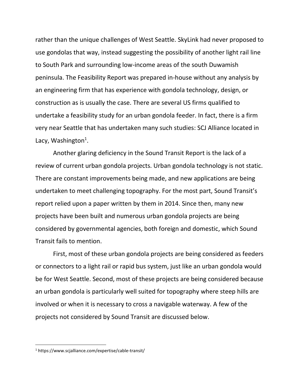rather than the unique challenges of West Seattle. SkyLink had never proposed to use gondolas that way, instead suggesting the possibility of another light rail line to South Park and surrounding low-income areas of the south Duwamish peninsula. The Feasibility Report was prepared in-house without any analysis by an engineering firm that has experience with gondola technology, design, or construction as is usually the case. There are several US firms qualified to undertake a feasibility study for an urban gondola feeder. In fact, there is a firm very near Seattle that has undertaken many such studies: SCJ Alliance located in Lacy, Washington<sup>1</sup>.

Another glaring deficiency in the Sound Transit Report is the lack of a review of current urban gondola projects. Urban gondola technology is not static. There are constant improvements being made, and new applications are being undertaken to meet challenging topography. For the most part, Sound Transit's report relied upon a paper written by them in 2014. Since then, many new projects have been built and numerous urban gondola projects are being considered by governmental agencies, both foreign and domestic, which Sound Transit fails to mention.

First, most of these urban gondola projects are being considered as feeders or connectors to a light rail or rapid bus system, just like an urban gondola would be for West Seattle. Second, most of these projects are being considered because an urban gondola is particularly well suited for topography where steep hills are involved or when it is necessary to cross a navigable waterway. A few of the projects not considered by Sound Transit are discussed below.

<sup>1</sup> https://www.scjalliance.com/expertise/cable-transit/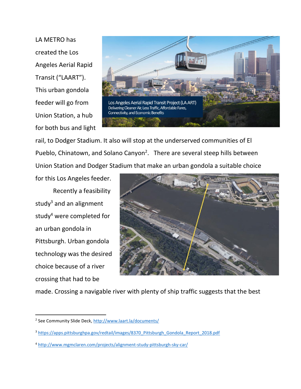LA METRO has created the Los Angeles Aerial Rapid Transit ("LAART"). This urban gondola feeder will go from Union Station, a hub for both bus and light



rail, to Dodger Stadium. It also will stop at the underserved communities of El Pueblo, Chinatown, and Solano Canyon<sup>2</sup>. There are several steep hills between Union Station and Dodger Stadium that make an urban gondola a suitable choice

for this Los Angeles feeder. Recently a feasibility study $3$  and an alignment study<sup>4</sup> were completed for an urban gondola in Pittsburgh. Urban gondola technology was the desired choice because of a river crossing that had to be



made. Crossing a navigable river with plenty of ship traffic suggests that the best

<sup>&</sup>lt;sup>2</sup> See Community Slide Deck, <u>http://www.laart.la/documents/</u>

<sup>3</sup> [https://apps.pittsburghpa.gov/redtail/images/8370\\_Pittsburgh\\_Gondola\\_Report\\_2018.pdf](https://apps.pittsburghpa.gov/redtail/images/8370_Pittsburgh_Gondola_Report_2018.pdf)

<sup>4</sup> <http://www.mgmclaren.com/projects/alignment-study-pittsburgh-sky-car/>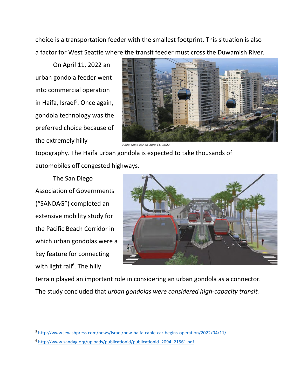choice is a transportation feeder with the smallest footprint. This situation is also a factor for West Seattle where the transit feeder must cross the Duwamish River.

On April 11, 2022 an urban gondola feeder went into commercial operation in Haifa, Israel<sup>5</sup>. Once again, gondola technology was the preferred choice because of the extremely hilly



Haifa cable car on April 11, 2022

topography. The Haifa urban gondola is expected to take thousands of automobiles off congested highways.

The San Diego Association of Governments ("SANDAG") completed an extensive mobility study for the Pacific Beach Corridor in which urban gondolas were a key feature for connecting with light rail<sup>6</sup>. The hilly



terrain played an important role in considering an urban gondola as a connector. The study concluded that *urban gondolas were considered high-capacity transit.* 

<sup>5</sup> <http://www.jewishpress.com/news/Israel/new-haifa-cable-car-begins-operation/2022/04/11/>

<sup>6</sup> [http://www.sandag.org/uploads/publicationid/publicationid\\_2094\\_21561.pdf](http://www.sandag.org/uploads/publicationid/publicationid_2094_21561.pdf)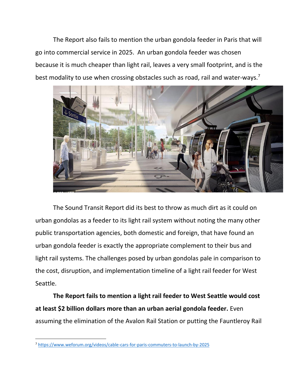The Report also fails to mention the urban gondola feeder in Paris that will go into commercial service in 2025. An urban gondola feeder was chosen because it is much cheaper than light rail, leaves a very small footprint, and is the best modality to use when crossing obstacles such as road, rail and water-ways.<sup>7</sup>



The Sound Transit Report did its best to throw as much dirt as it could on urban gondolas as a feeder to its light rail system without noting the many other public transportation agencies, both domestic and foreign, that have found an urban gondola feeder is exactly the appropriate complement to their bus and light rail systems. The challenges posed by urban gondolas pale in comparison to the cost, disruption, and implementation timeline of a light rail feeder for West Seattle.

**The Report fails to mention a light rail feeder to West Seattle would cost at least \$2 billion dollars more than an urban aerial gondola feeder.** Even assuming the elimination of the Avalon Rail Station or putting the Fauntleroy Rail

<sup>7</sup> <https://www.weforum.org/videos/cable-cars-for-paris-commuters-to-launch-by-2025>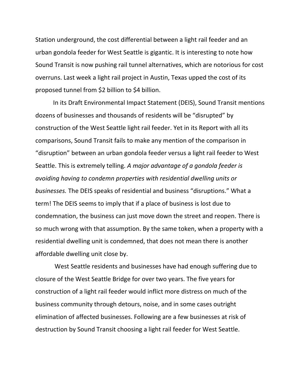Station underground, the cost differential between a light rail feeder and an urban gondola feeder for West Seattle is gigantic. It is interesting to note how Sound Transit is now pushing rail tunnel alternatives, which are notorious for cost overruns. Last week a light rail project in Austin, Texas upped the cost of its proposed tunnel from \$2 billion to \$4 billion.

In its Draft Environmental Impact Statement (DEIS), Sound Transit mentions dozens of businesses and thousands of residents will be "disrupted" by construction of the West Seattle light rail feeder. Yet in its Report with all its comparisons, Sound Transit fails to make any mention of the comparison in "disruption" between an urban gondola feeder versus a light rail feeder to West Seattle. This is extremely telling. *A major advantage of a gondola feeder is avoiding having to condemn properties with residential dwelling units or businesses.* The DEIS speaks of residential and business "disruptions." What a term! The DEIS seems to imply that if a place of business is lost due to condemnation, the business can just move down the street and reopen. There is so much wrong with that assumption. By the same token, when a property with a residential dwelling unit is condemned, that does not mean there is another affordable dwelling unit close by.

West Seattle residents and businesses have had enough suffering due to closure of the West Seattle Bridge for over two years. The five years for construction of a light rail feeder would inflict more distress on much of the business community through detours, noise, and in some cases outright elimination of affected businesses. Following are a few businesses at risk of destruction by Sound Transit choosing a light rail feeder for West Seattle.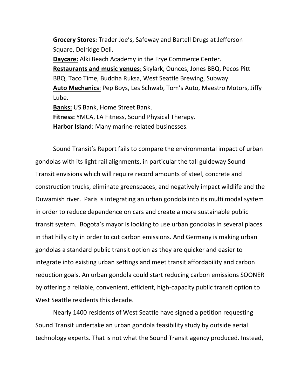**Grocery Stores:** Trader Joe's, Safeway and Bartell Drugs at Jefferson Square, Delridge Deli.

**Daycare:** Alki Beach Academy in the Frye Commerce Center. **Restaurants and music venues**: Skylark, Ounces, Jones BBQ, Pecos Pitt BBQ, Taco Time, Buddha Ruksa, West Seattle Brewing, Subway. **Auto Mechanics**: Pep Boys, Les Schwab, Tom's Auto, Maestro Motors, Jiffy Lube.

**Banks:** US Bank, Home Street Bank.

**Fitness:** YMCA, LA Fitness, Sound Physical Therapy.

**Harbor Island**: Many marine-related businesses.

Sound Transit's Report fails to compare the environmental impact of urban gondolas with its light rail alignments, in particular the tall guideway Sound Transit envisions which will require record amounts of steel, concrete and construction trucks, eliminate greenspaces, and negatively impact wildlife and the Duwamish river. Paris is integrating an urban gondola into its multi modal system in order to reduce dependence on cars and create a more sustainable public transit system. Bogota's mayor is looking to use urban gondolas in several places in that hilly city in order to cut carbon emissions. And Germany is making urban gondolas a standard public transit option as they are quicker and easier to integrate into existing urban settings and meet transit affordability and carbon reduction goals. An urban gondola could start reducing carbon emissions SOONER by offering a reliable, convenient, efficient, high-capacity public transit option to West Seattle residents this decade.

Nearly 1400 residents of West Seattle have signed a petition requesting Sound Transit undertake an urban gondola feasibility study by outside aerial technology experts. That is not what the Sound Transit agency produced. Instead,